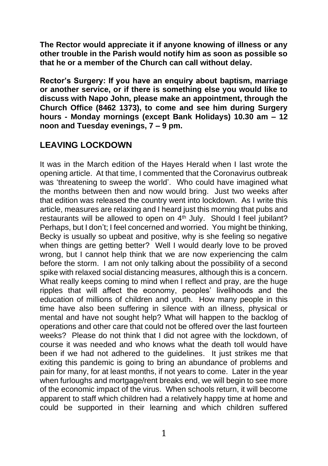**The Rector would appreciate it if anyone knowing of illness or any other trouble in the Parish would notify him as soon as possible so that he or a member of the Church can call without delay.**

**Rector's Surgery: If you have an enquiry about baptism, marriage or another service, or if there is something else you would like to discuss with Napo John, please make an appointment, through the Church Office (8462 1373), to come and see him during Surgery hours - Monday mornings (except Bank Holidays) 10.30 am – 12 noon and Tuesday evenings, 7 – 9 pm.**

## **LEAVING LOCKDOWN**

It was in the March edition of the Hayes Herald when I last wrote the opening article. At that time, I commented that the Coronavirus outbreak was 'threatening to sweep the world'. Who could have imagined what the months between then and now would bring. Just two weeks after that edition was released the country went into lockdown. As I write this article, measures are relaxing and I heard just this morning that pubs and restaurants will be allowed to open on 4<sup>th</sup> July. Should I feel jubilant? Perhaps, but I don't; I feel concerned and worried. You might be thinking, Becky is usually so upbeat and positive, why is she feeling so negative when things are getting better? Well I would dearly love to be proved wrong, but I cannot help think that we are now experiencing the calm before the storm. I am not only talking about the possibility of a second spike with relaxed social distancing measures, although this is a concern. What really keeps coming to mind when I reflect and pray, are the huge ripples that will affect the economy, peoples' livelihoods and the education of millions of children and youth. How many people in this time have also been suffering in silence with an illness, physical or mental and have not sought help? What will happen to the backlog of operations and other care that could not be offered over the last fourteen weeks? Please do not think that I did not agree with the lockdown, of course it was needed and who knows what the death toll would have been if we had not adhered to the guidelines. It just strikes me that exiting this pandemic is going to bring an abundance of problems and pain for many, for at least months, if not years to come. Later in the year when furloughs and mortgage/rent breaks end, we will begin to see more of the economic impact of the virus. When schools return, it will become apparent to staff which children had a relatively happy time at home and could be supported in their learning and which children suffered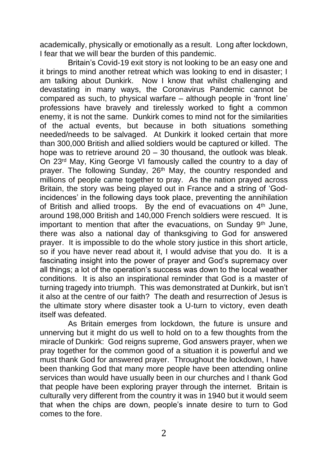academically, physically or emotionally as a result. Long after lockdown, I fear that we will bear the burden of this pandemic.

Britain's Covid-19 exit story is not looking to be an easy one and it brings to mind another retreat which was looking to end in disaster; I am talking about Dunkirk. Now I know that whilst challenging and devastating in many ways, the Coronavirus Pandemic cannot be compared as such, to physical warfare – although people in 'front line' professions have bravely and tirelessly worked to fight a common enemy, it is not the same. Dunkirk comes to mind not for the similarities of the actual events, but because in both situations something needed/needs to be salvaged. At Dunkirk it looked certain that more than 300,000 British and allied soldiers would be captured or killed. The hope was to retrieve around 20 – 30 thousand, the outlook was bleak. On 23rd May, King George VI famously called the country to a day of prayer. The following Sunday, 26<sup>th</sup> May, the country responded and millions of people came together to pray. As the nation prayed across Britain, the story was being played out in France and a string of 'Godincidences' in the following days took place, preventing the annihilation of British and allied troops. By the end of evacuations on  $4<sup>th</sup>$  June, around 198,000 British and 140,000 French soldiers were rescued. It is important to mention that after the evacuations, on Sunday  $9<sup>th</sup>$  June, there was also a national day of thanksgiving to God for answered prayer. It is impossible to do the whole story justice in this short article, so if you have never read about it, I would advise that you do. It is a fascinating insight into the power of prayer and God's supremacy over all things; a lot of the operation's success was down to the local weather conditions. It is also an inspirational reminder that God is a master of turning tragedy into triumph. This was demonstrated at Dunkirk, but isn't it also at the centre of our faith? The death and resurrection of Jesus is the ultimate story where disaster took a U-turn to victory, even death itself was defeated.

As Britain emerges from lockdown, the future is unsure and unnerving but it might do us well to hold on to a few thoughts from the miracle of Dunkirk: God reigns supreme, God answers prayer, when we pray together for the common good of a situation it is powerful and we must thank God for answered prayer. Throughout the lockdown, I have been thanking God that many more people have been attending online services than would have usually been in our churches and I thank God that people have been exploring prayer through the internet. Britain is culturally very different from the country it was in 1940 but it would seem that when the chips are down, people's innate desire to turn to God comes to the fore.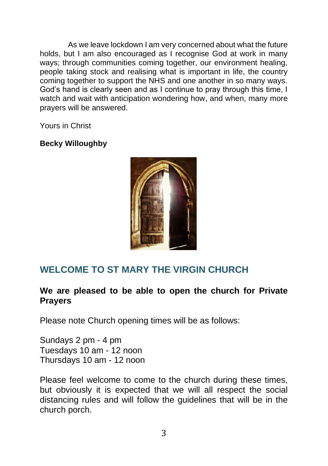As we leave lockdown I am very concerned about what the future holds, but I am also encouraged as I recognise God at work in many ways; through communities coming together, our environment healing. people taking stock and realising what is important in life, the country coming together to support the NHS and one another in so many ways. God's hand is clearly seen and as I continue to pray through this time, I watch and wait with anticipation wondering how, and when, many more prayers will be answered.

Yours in Christ

## **Becky Willoughby**



# **WELCOME TO ST MARY THE VIRGIN CHURCH**

## **We are pleased to be able to open the church for Private Prayers**

Please note Church opening times will be as follows:

Sundays 2 pm - 4 pm Tuesdays 10 am - 12 noon Thursdays 10 am - 12 noon

Please feel welcome to come to the church during these times, but obviously it is expected that we will all respect the social distancing rules and will follow the guidelines that will be in the church porch.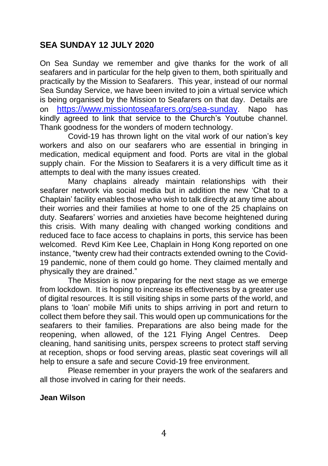## **SEA SUNDAY 12 JULY 2020**

On Sea Sunday we remember and give thanks for the work of all seafarers and in particular for the help given to them, both spiritually and practically by the Mission to Seafarers. This year, instead of our normal Sea Sunday Service, we have been invited to join a virtual service which is being organised by the Mission to Seafarers on that day. Details are on <https://www.missiontoseafarers.org/sea-sunday>. Napo has kindly agreed to link that service to the Church's Youtube channel. Thank goodness for the wonders of modern technology.

Covid-19 has thrown light on the vital work of our nation's key workers and also on our seafarers who are essential in bringing in medication, medical equipment and food. Ports are vital in the global supply chain. For the Mission to Seafarers it is a very difficult time as it attempts to deal with the many issues created.

Many chaplains already maintain relationships with their seafarer network via social media but in addition the new 'Chat to a Chaplain' facility enables those who wish to talk directly at any time about their worries and their families at home to one of the 25 chaplains on duty. Seafarers' worries and anxieties have become heightened during this crisis. With many dealing with changed working conditions and reduced face to face access to chaplains in ports, this service has been welcomed. Revd Kim Kee Lee, Chaplain in Hong Kong reported on one instance, "twenty crew had their contracts extended owning to the Covid-19 pandemic, none of them could go home. They claimed mentally and physically they are drained."

The Mission is now preparing for the next stage as we emerge from lockdown. It is hoping to increase its effectiveness by a greater use of digital resources. It is still visiting ships in some parts of the world, and plans to 'loan' mobile Mifi units to ships arriving in port and return to collect them before they sail. This would open up communications for the seafarers to their families. Preparations are also being made for the reopening, when allowed, of the 121 Flying Angel Centres. Deep cleaning, hand sanitising units, perspex screens to protect staff serving at reception, shops or food serving areas, plastic seat coverings will all help to ensure a safe and secure Covid-19 free environment.

Please remember in your prayers the work of the seafarers and all those involved in caring for their needs.

### **Jean Wilson**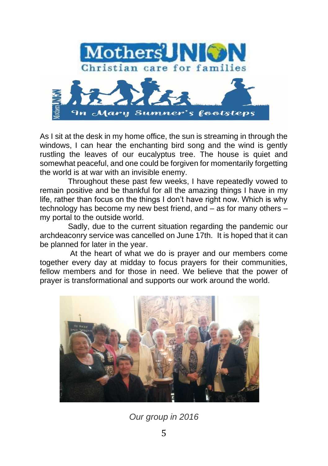

As I sit at the desk in my home office, the sun is streaming in through the windows, I can hear the enchanting bird song and the wind is gently rustling the leaves of our eucalyptus tree. The house is quiet and somewhat peaceful, and one could be forgiven for momentarily forgetting the world is at war with an invisible enemy.

Throughout these past few weeks, I have repeatedly vowed to remain positive and be thankful for all the amazing things I have in my life, rather than focus on the things I don't have right now. Which is why technology has become my new best friend, and – as for many others – my portal to the outside world.

Sadly, due to the current situation regarding the pandemic our archdeaconry service was cancelled on June 17th. It is hoped that it can be planned for later in the year.

At the heart of what we do is prayer and our members come together every day at midday to focus prayers for their communities, fellow members and for those in need. We believe that the power of prayer is transformational and supports our work around the world.



*Our group in 2016*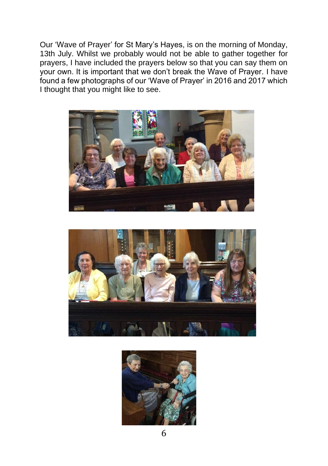Our 'Wave of Prayer' for St Mary's Hayes, is on the morning of Monday, 13th July. Whilst we probably would not be able to gather together for prayers, I have included the prayers below so that you can say them on your own. It is important that we don't break the Wave of Prayer. I have found a few photographs of our 'Wave of Prayer' in 2016 and 2017 which I thought that you might like to see.





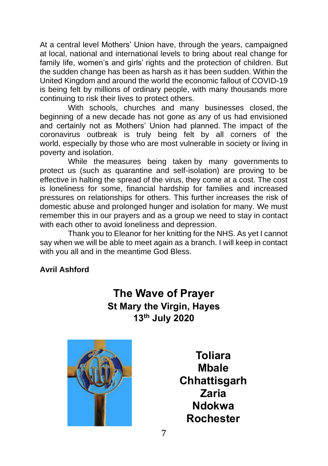At a central level Mothers' Union have, through the years, campaigned at local, national and international levels to bring about real change for family life, women's and girls' rights and the protection of children. But the sudden change has been as harsh as it has been sudden. Within the United Kingdom and around the world the economic fallout of COVID-19 is being felt by millions of ordinary people, with many thousands more continuing to risk their lives to protect others.

With schools, churches and many businesses closed, the beginning of a new decade has not gone as any of us had envisioned and certainly not as Mothers' Union had planned. The impact of the coronavirus outbreak is truly being felt by all corners of the world, especially by those who are most vulnerable in society or living in poverty and isolation.

While the measures being taken by many governments to protect us (such as quarantine and self-isolation) are proving to be effective in halting the spread of the virus, they come at a cost. The cost is loneliness for some, financial hardship for families and increased pressures on relationships for others. This further increases the risk of domestic abuse and prolonged hunger and isolation for many. We must remember this in our prayers and as a group we need to stay in contact with each other to avoid loneliness and depression.

Thank you to Eleanor for her knitting for the NHS. As yet I cannot say when we will be able to meet again as a branch. I will keep in contact with you all and in the meantime God Bless.

## **Avril Ashford**

# **The Wave of Prayer St Mary the Virgin, Hayes 13th July 2020**



**Toliara Mbale Chhattisgarh Zaria Ndokwa Rochester**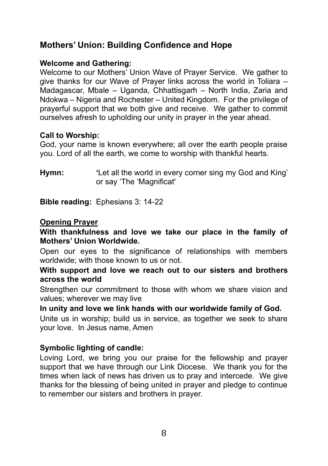# **Mothers' Union: Building Confidence and Hope**

## **Welcome and Gathering:**

Welcome to our Mothers' Union Wave of Prayer Service. We gather to give thanks for our Wave of Prayer links across the world in Toliara – Madagascar, Mbale – Uganda, Chhattisgarh – North India, Zaria and Ndokwa – Nigeria and Rochester – United Kingdom. For the privilege of prayerful support that we both give and receive. We gather to commit ourselves afresh to upholding our unity in prayer in the year ahead.

## **Call to Worship:**

God, your name is known everywhere; all over the earth people praise you. Lord of all the earth, we come to worship with thankful hearts.

**Hymn: '**Let all the world in every corner sing my God and King' or say 'The 'Magnificat'

**Bible reading:** Ephesians 3: 14-22

#### **Opening Prayer**

**With thankfulness and love we take our place in the family of Mothers' Union Worldwide.** 

Open our eyes to the significance of relationships with members worldwide; with those known to us or not.

#### **With support and love we reach out to our sisters and brothers across the world**

Strengthen our commitment to those with whom we share vision and values; wherever we may live

### **In unity and love we link hands with our worldwide family of God.**

Unite us in worship; build us in service, as together we seek to share your love. In Jesus name, Amen

### **Symbolic lighting of candle:**

Loving Lord, we bring you our praise for the fellowship and prayer support that we have through our Link Diocese. We thank you for the times when lack of news has driven us to pray and intercede. We give thanks for the blessing of being united in prayer and pledge to continue to remember our sisters and brothers in prayer.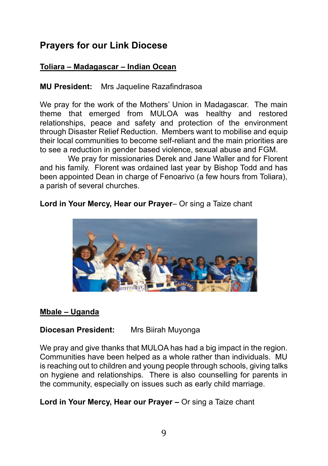# **Prayers for our Link Diocese**

## **Toliara – Madagascar – Indian Ocean**

## **MU President:** Mrs Jaqueline Razafindrasoa

We pray for the work of the Mothers' Union in Madagascar. The main theme that emerged from MULOA was healthy and restored relationships, peace and safety and protection of the environment through Disaster Relief Reduction. Members want to mobilise and equip their local communities to become self-reliant and the main priorities are to see a reduction in gender based violence, sexual abuse and FGM.

We pray for missionaries Derek and Jane Waller and for Florent and his family. Florent was ordained last year by Bishop Todd and has been appointed Dean in charge of Fenoarivo (a few hours from Toliara), a parish of several churches.

## **Lord in Your Mercy, Hear our Prayer**– Or sing a Taize chant



### **Mbale – Uganda**

### **Diocesan President:** Mrs Biirah Muyonga

We pray and give thanks that MULOA has had a big impact in the region. Communities have been helped as a whole rather than individuals. MU is reaching out to children and young people through schools, giving talks on hygiene and relationships. There is also counselling for parents in the community, especially on issues such as early child marriage.

**Lord in Your Mercy, Hear our Prayer –** Or sing a Taize chant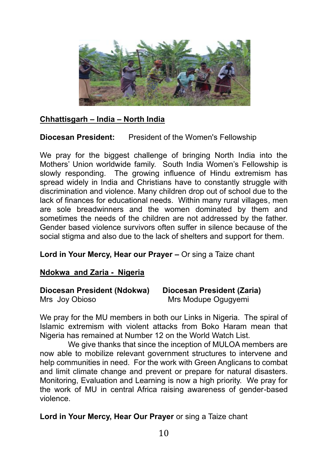

## **Chhattisgarh – India – North India**

## **Diocesan President:** President of the Women's Fellowship

We pray for the biggest challenge of bringing North India into the Mothers' Union worldwide family. South India Women's Fellowship is slowly responding. The growing influence of Hindu extremism has spread widely in India and Christians have to constantly struggle with discrimination and violence. Many children drop out of school due to the lack of finances for educational needs. Within many rural villages, men are sole breadwinners and the women dominated by them and sometimes the needs of the children are not addressed by the father. Gender based violence survivors often suffer in silence because of the social stigma and also due to the lack of shelters and support for them.

### **Lord in Your Mercy, Hear our Prayer –** Or sing a Taize chant

### **Ndokwa and Zaria - Nigeria**

| Diocesan President (Ndokwa) | Diocesan President (Zaria) |
|-----------------------------|----------------------------|
| Mrs Joy Obioso              | Mrs Modupe Ogugyemi        |

We pray for the MU members in both our Links in Nigeria. The spiral of Islamic extremism with violent attacks from Boko Haram mean that Nigeria has remained at Number 12 on the World Watch List.

We give thanks that since the inception of MULOA members are now able to mobilize relevant government structures to intervene and help communities in need. For the work with Green Anglicans to combat and limit climate change and prevent or prepare for natural disasters. Monitoring, Evaluation and Learning is now a high priority. We pray for the work of MU in central Africa raising awareness of gender-based violence.

### **Lord in Your Mercy, Hear Our Prayer** or sing a Taize chant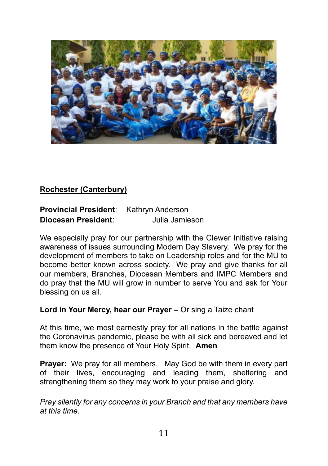

## **Rochester (Canterbury)**

| <b>Provincial President:</b> | Kathryn Anderson |
|------------------------------|------------------|
| Diocesan President:          | Julia Jamieson   |

We especially pray for our partnership with the Clewer Initiative raising awareness of issues surrounding Modern Day Slavery. We pray for the development of members to take on Leadership roles and for the MU to become better known across society. We pray and give thanks for all our members, Branches, Diocesan Members and IMPC Members and do pray that the MU will grow in number to serve You and ask for Your blessing on us all.

## **Lord in Your Mercy, hear our Prayer –** Or sing a Taize chant

At this time, we most earnestly pray for all nations in the battle against the Coronavirus pandemic, please be with all sick and bereaved and let them know the presence of Your Holy Spirit. **Amen**

**Prayer:** We pray for all members. May God be with them in every part of their lives, encouraging and leading them, sheltering and strengthening them so they may work to your praise and glory.

*Pray silently for any concerns in your Branch and that any members have at this time.*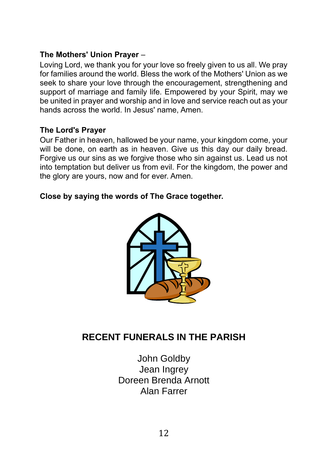## **The Mothers' Union Prayer** –

Loving Lord, we thank you for your love so freely given to us all. We pray for families around the world. Bless the work of the Mothers' Union as we seek to share your love through the encouragement, strengthening and support of marriage and family life. Empowered by your Spirit, may we be united in prayer and worship and in love and service reach out as your hands across the world. In Jesus' name, Amen.

## **The Lord's Prayer**

Our Father in heaven, hallowed be your name, your kingdom come, your will be done, on earth as in heaven. Give us this day our daily bread. Forgive us our sins as we forgive those who sin against us. Lead us not into temptation but deliver us from evil. For the kingdom, the power and the glory are yours, now and for ever. Amen.

## **Close by saying the words of The Grace together.**



# **RECENT FUNERALS IN THE PARISH**

John Goldby Jean Ingrey Doreen Brenda Arnott Alan Farrer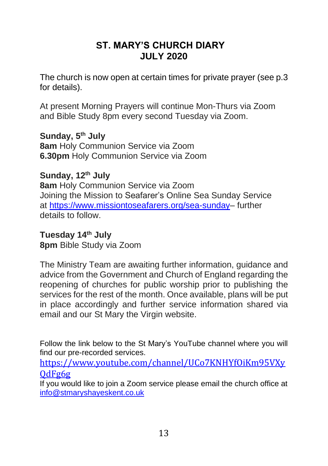# **ST. MARY'S CHURCH DIARY JULY 2020**

The church is now open at certain times for private prayer (see p.3 for details).

At present Morning Prayers will continue Mon-Thurs via Zoom and Bible Study 8pm every second Tuesday via Zoom.

**Sunday, 5 th July 8am** Holy Communion Service via Zoom **6.30pm** Holy Communion Service via Zoom

**Sunday, 12 th July 8am** Holy Communion Service via Zoom Joining the Mission to Seafarer's Online Sea Sunday Service at [https://www.missiontoseafarers.org/sea-sunday–](https://www.missiontoseafarers.org/sea-sunday) further details to follow.

**Tuesday 14th July 8pm** Bible Study via Zoom

The Ministry Team are awaiting further information, guidance and advice from the Government and Church of England regarding the reopening of churches for public worship prior to publishing the services for the rest of the month. Once available, plans will be put in place accordingly and further service information shared via email and our St Mary the Virgin website.

Follow the link below to the St Mary's YouTube channel where you will find our pre-recorded services.

[https://www.youtube.com/channel/UCo7KNHYfOiKm95VXy](https://www.youtube.com/channel/UCo7KNHYfOiKm95VXyQdFg6g)  $OdFg6g$ 

If you would like to join a Zoom service please email the church office at [info@stmaryshayeskent.co.uk](mailto:info@stmaryshayeskent.co.uk)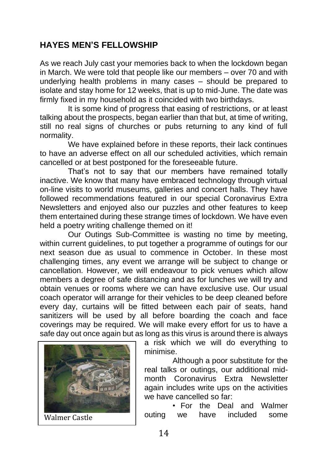## **HAYES MEN'S FELLOWSHIP**

As we reach July cast your memories back to when the lockdown began in March. We were told that people like our members – over 70 and with underlying health problems in many cases – should be prepared to isolate and stay home for 12 weeks, that is up to mid-June. The date was firmly fixed in my household as it coincided with two birthdays.

It is some kind of progress that easing of restrictions, or at least talking about the prospects, began earlier than that but, at time of writing, still no real signs of churches or pubs returning to any kind of full normality.

We have explained before in these reports, their lack continues to have an adverse effect on all our scheduled activities, which remain cancelled or at best postponed for the foreseeable future.

That's not to say that our members have remained totally inactive. We know that many have embraced technology through virtual on-line visits to world museums, galleries and concert halls. They have followed recommendations featured in our special Coronavirus Extra Newsletters and enjoyed also our puzzles and other features to keep them entertained during these strange times of lockdown. We have even held a poetry writing challenge themed on it!

Our Outings Sub-Committee is wasting no time by meeting, within current guidelines, to put together a programme of outings for our next season due as usual to commence in October. In these most challenging times, any event we arrange will be subject to change or cancellation. However, we will endeavour to pick venues which allow members a degree of safe distancing and as for lunches we will try and obtain venues or rooms where we can have exclusive use. Our usual coach operator will arrange for their vehicles to be deep cleaned before every day, curtains will be fitted between each pair of seats, hand sanitizers will be used by all before boarding the coach and face coverings may be required. We will make every effort for us to have a safe day out once again but as long as this virus is around there is always



a risk which we will do everything to minimise.

Although a poor substitute for the real talks or outings, our additional midmonth Coronavirus Extra Newsletter again includes write ups on the activities we have cancelled so far:

• For the Deal and Walmer Walmer Castle **Castle Contact Contact Contact Castle** outing we have included some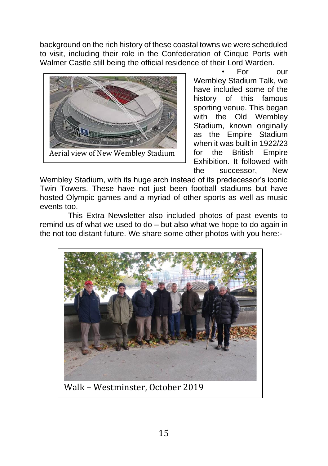background on the rich history of these coastal towns we were scheduled to visit, including their role in the Confederation of Cinque Ports with Walmer Castle still being the official residence of their Lord Warden.



• For our Wembley Stadium Talk, we have included some of the history of this famous sporting venue. This began with the Old Wembley Stadium, known originally as the Empire Stadium when it was built in 1922/23 for the British Empire Exhibition. It followed with the successor, New

Wembley Stadium, with its huge arch instead of its predecessor's iconic Twin Towers. These have not just been football stadiums but have hosted Olympic games and a myriad of other sports as well as music events too.

This Extra Newsletter also included photos of past events to remind us of what we used to do – but also what we hope to do again in the not too distant future. We share some other photos with you here:-



15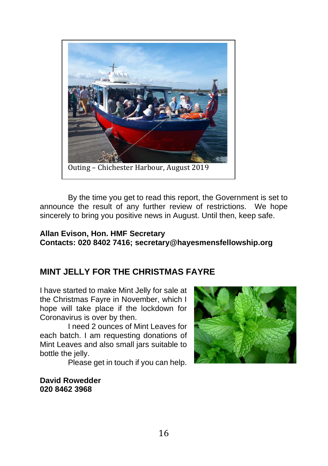

By the time you get to read this report, the Government is set to announce the result of any further review of restrictions. We hope sincerely to bring you positive news in August. Until then, keep safe.

#### **Allan Evison, Hon. HMF Secretary Contacts: 020 8402 7416; secretary@hayesmensfellowship.org**

## **MINT JELLY FOR THE CHRISTMAS FAYRE**

I have started to make Mint Jelly for sale at the Christmas Fayre in November, which I hope will take place if the lockdown for Coronavirus is over by then.

I need 2 ounces of Mint Leaves for each batch. I am requesting donations of Mint Leaves and also small jars suitable to bottle the jelly.

Please get in touch if you can help.

**David Rowedder 020 8462 3968**

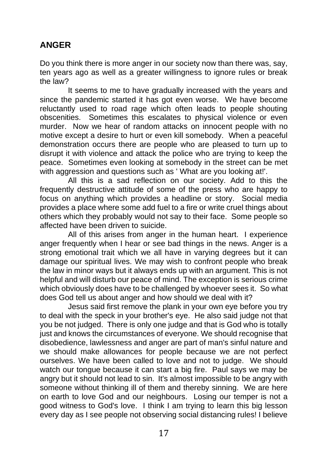# **ANGER**

Do you think there is more anger in our society now than there was, say, ten years ago as well as a greater willingness to ignore rules or break the law?

It seems to me to have gradually increased with the years and since the pandemic started it has got even worse. We have become reluctantly used to road rage which often leads to people shouting obscenities. Sometimes this escalates to physical violence or even murder. Now we hear of random attacks on innocent people with no motive except a desire to hurt or even kill somebody. When a peaceful demonstration occurs there are people who are pleased to turn up to disrupt it with violence and attack the police who are trying to keep the peace. Sometimes even looking at somebody in the street can be met with aggression and questions such as ' What are you looking at!'.

All this is a sad reflection on our society. Add to this the frequently destructive attitude of some of the press who are happy to focus on anything which provides a headline or story. Social media provides a place where some add fuel to a fire or write cruel things about others which they probably would not say to their face. Some people so affected have been driven to suicide.

All of this arises from anger in the human heart. I experience anger frequently when I hear or see bad things in the news. Anger is a strong emotional trait which we all have in varying degrees but it can damage our spiritual lives. We may wish to confront people who break the law in minor ways but it always ends up with an argument. This is not helpful and will disturb our peace of mind. The exception is serious crime which obviously does have to be challenged by whoever sees it. So what does God tell us about anger and how should we deal with it?

Jesus said first remove the plank in your own eye before you try to deal with the speck in your brother's eye. He also said judge not that you be not judged. There is only one judge and that is God who is totally just and knows the circumstances of everyone. We should recognise that disobedience, lawlessness and anger are part of man's sinful nature and we should make allowances for people because we are not perfect ourselves. We have been called to love and not to judge. We should watch our tongue because it can start a big fire. Paul says we may be angry but it should not lead to sin. It's almost impossible to be angry with someone without thinking ill of them and thereby sinning. We are here on earth to love God and our neighbours. Losing our temper is not a good witness to God's love. I think I am trying to learn this big lesson every day as I see people not observing social distancing rules! I believe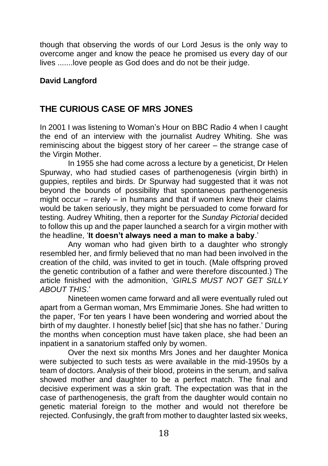though that observing the words of our Lord Jesus is the only way to overcome anger and know the peace he promised us every day of our lives .......love people as God does and do not be their judge.

## **David Langford**

# **THE CURIOUS CASE OF MRS JONES**

In 2001 I was listening to Woman's Hour on BBC Radio 4 when I caught the end of an interview with the journalist Audrey Whiting. She was reminiscing about the biggest story of her career – the strange case of the Virgin Mother.

In 1955 she had come across a lecture by a geneticist, Dr Helen Spurway, who had studied cases of parthenogenesis (virgin birth) in guppies, reptiles and birds. Dr Spurway had suggested that it was not beyond the bounds of possibility that spontaneous parthenogenesis might occur – rarely – in humans and that if women knew their claims would be taken seriously, they might be persuaded to come forward for testing. Audrey Whiting, then a reporter for the *Sunday Pictorial* decided to follow this up and the paper launched a search for a virgin mother with the headline, '**It doesn't always need a man to make a baby**.'

Any woman who had given birth to a daughter who strongly resembled her, and firmly believed that no man had been involved in the creation of the child, was invited to get in touch. (Male offspring proved the genetic contribution of a father and were therefore discounted.) The article finished with the admonition, '*GIRLS MUST NOT GET SILLY ABOUT THIS*.'

Nineteen women came forward and all were eventually ruled out apart from a German woman, Mrs Emmimarie Jones. She had written to the paper, 'For ten years I have been wondering and worried about the birth of my daughter. I honestly belief [sic] that she has no father.' During the months when conception must have taken place, she had been an inpatient in a sanatorium staffed only by women.

Over the next six months Mrs Jones and her daughter Monica were subjected to such tests as were available in the mid-1950s by a team of doctors. Analysis of their blood, proteins in the serum, and saliva showed mother and daughter to be a perfect match. The final and decisive experiment was a skin graft. The expectation was that in the case of parthenogenesis, the graft from the daughter would contain no genetic material foreign to the mother and would not therefore be rejected. Confusingly, the graft from mother to daughter lasted six weeks,